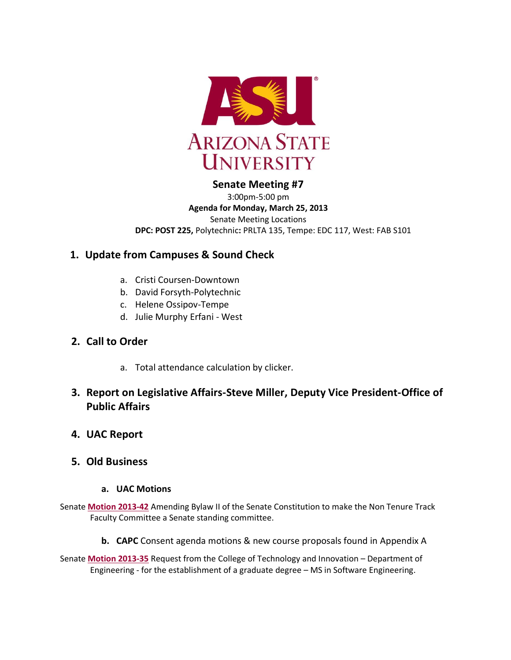

# **Senate Meeting #7**

3:00pm-5:00 pm **Agenda for Monday, March 25, 2013** Senate Meeting Locations **DPC: POST 225,** Polytechnic**:** PRLTA 135, Tempe: EDC 117, West: FAB S101

# **1. Update from Campuses & Sound Check**

- a. Cristi Coursen-Downtown
- b. David Forsyth-Polytechnic
- c. Helene Ossipov-Tempe
- d. Julie Murphy Erfani West
- **2. Call to Order**
	- a. Total attendance calculation by clicker.

# **3. Report on Legislative Affairs-Steve Miller, Deputy Vice President-Office of Public Affairs**

**4. UAC Report**

# **5. Old Business**

# **a. UAC Motions**

- Senate **[Motion 2013-42](http://usenate.asu.edu/node/4502)** Amending Bylaw II of the Senate Constitution to make the Non Tenure Track Faculty Committee a Senate standing committee.
	- **b. CAPC** Consent agenda motions & new course proposals found in Appendix A

Senate **[Motion 2013-35](http://usenate.asu.edu/node/4491)** Request from the College of Technology and Innovation – Department of Engineering - for the establishment of a graduate degree – MS in Software Engineering.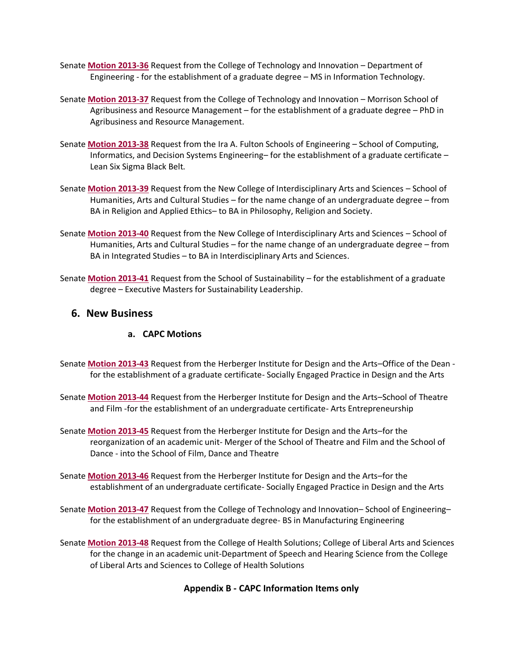- Senate **[Motion 2013-36](http://usenate.asu.edu/node/4492)** Request from the College of Technology and Innovation Department of Engineering - for the establishment of a graduate degree – MS in Information Technology.
- Senate **[Motion 2013-37](http://usenate.asu.edu/node/4493)** Request from the College of Technology and Innovation Morrison School of Agribusiness and Resource Management – for the establishment of a graduate degree – PhD in Agribusiness and Resource Management.
- Senate **[Motion 2013-38](http://usenate.asu.edu/node/4494)** Request from the Ira A. Fulton Schools of Engineering School of Computing, Informatics, and Decision Systems Engineering– for the establishment of a graduate certificate – Lean Six Sigma Black Belt.
- Senate **[Motion 2013-39](http://usenate.asu.edu/node/4495)** Request from the New College of Interdisciplinary Arts and Sciences School of Humanities, Arts and Cultural Studies – for the name change of an undergraduate degree – from BA in Religion and Applied Ethics– to BA in Philosophy, Religion and Society.
- Senate **[Motion 2013-40](http://usenate.asu.edu/node/4496)** Request from the New College of Interdisciplinary Arts and Sciences School of Humanities, Arts and Cultural Studies – for the name change of an undergraduate degree – from BA in Integrated Studies – to BA in Interdisciplinary Arts and Sciences.
- Senate **[Motion 2013-41](http://usenate.asu.edu/node/4497)** Request from the School of Sustainability for the establishment of a graduate degree – Executive Masters for Sustainability Leadership.

# **6. New Business**

# **a. CAPC Motions**

- Senate **[Motion 2013-43](http://usenate.asu.edu/node/4512)** Request from the Herberger Institute for Design and the Arts–Office of the Dean for the establishment of a graduate certificate- Socially Engaged Practice in Design and the Arts
- Senate **[Motion 2013-44](http://usenate.asu.edu/node/4513)** Request from the Herberger Institute for Design and the Arts–School of Theatre and Film -for the establishment of an undergraduate certificate- Arts Entrepreneurship
- Senate **[Motion 2013-45](http://usenate.asu.edu/node/4514)** Request from the Herberger Institute for Design and the Arts–for the reorganization of an academic unit- Merger of the School of Theatre and Film and the School of Dance - into the School of Film, Dance and Theatre
- Senate **[Motion 2013-46](http://usenate.asu.edu/node/4515)** Request from the Herberger Institute for Design and the Arts–for the establishment of an undergraduate certificate- Socially Engaged Practice in Design and the Arts
- Senate **[Motion 2013-47](http://usenate.asu.edu/node/4516)** Request from the College of Technology and Innovation– School of Engineering– for the establishment of an undergraduate degree- BS in Manufacturing Engineering
- Senate **[Motion 2013-48](http://usenate.asu.edu/node/4517)** Request from the College of Health Solutions; College of Liberal Arts and Sciences for the change in an academic unit-Department of Speech and Hearing Science from the College of Liberal Arts and Sciences to College of Health Solutions

# **Appendix B - CAPC Information Items only**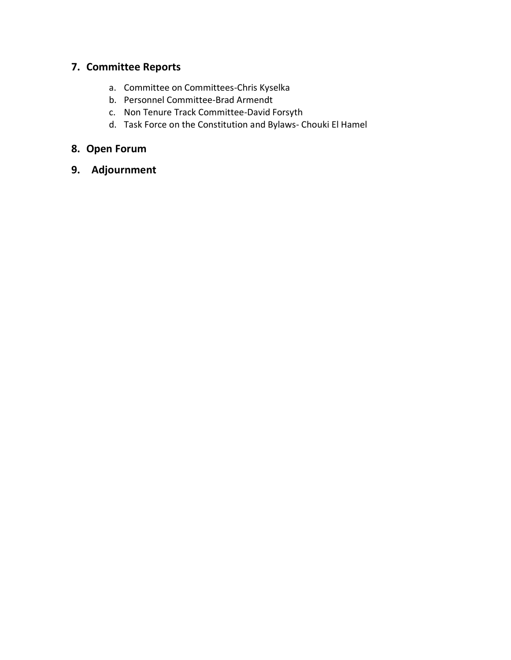# **7. Committee Reports**

- a. Committee on Committees-Chris Kyselka
- b. Personnel Committee-Brad Armendt
- c. Non Tenure Track Committee-David Forsyth
- d. Task Force on the Constitution and Bylaws- Chouki El Hamel

# **8. Open Forum**

**9. Adjournment**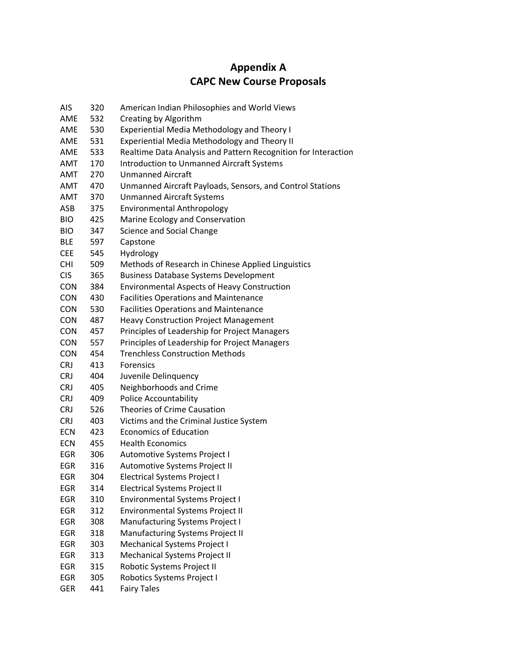# **Appendix A CAPC New Course Proposals**

| <b>AIS</b> | 320 | American Indian Philosophies and World Views                   |
|------------|-----|----------------------------------------------------------------|
| AME        | 532 | Creating by Algorithm                                          |
| AME        | 530 | <b>Experiential Media Methodology and Theory I</b>             |
| AME        | 531 | <b>Experiential Media Methodology and Theory II</b>            |
| AME        | 533 | Realtime Data Analysis and Pattern Recognition for Interaction |
| AMT        | 170 | <b>Introduction to Unmanned Aircraft Systems</b>               |
| AMT        | 270 | <b>Unmanned Aircraft</b>                                       |
| <b>AMT</b> | 470 | Unmanned Aircraft Payloads, Sensors, and Control Stations      |
| <b>AMT</b> | 370 | <b>Unmanned Aircraft Systems</b>                               |
| ASB        | 375 | <b>Environmental Anthropology</b>                              |
| <b>BIO</b> | 425 | Marine Ecology and Conservation                                |
| <b>BIO</b> | 347 | Science and Social Change                                      |
| <b>BLE</b> | 597 | Capstone                                                       |
| <b>CEE</b> | 545 | Hydrology                                                      |
| CHI        | 509 | Methods of Research in Chinese Applied Linguistics             |
| <b>CIS</b> | 365 | <b>Business Database Systems Development</b>                   |
| <b>CON</b> | 384 | <b>Environmental Aspects of Heavy Construction</b>             |
| <b>CON</b> | 430 | <b>Facilities Operations and Maintenance</b>                   |
| <b>CON</b> | 530 | <b>Facilities Operations and Maintenance</b>                   |
| <b>CON</b> | 487 | <b>Heavy Construction Project Management</b>                   |
| <b>CON</b> | 457 | Principles of Leadership for Project Managers                  |
| <b>CON</b> | 557 | Principles of Leadership for Project Managers                  |
| <b>CON</b> | 454 | <b>Trenchless Construction Methods</b>                         |
| <b>CRJ</b> | 413 | Forensics                                                      |
| <b>CRJ</b> | 404 | Juvenile Delinquency                                           |
| <b>CRJ</b> | 405 | Neighborhoods and Crime                                        |
| <b>CRJ</b> | 409 | <b>Police Accountability</b>                                   |
| <b>CRJ</b> | 526 | Theories of Crime Causation                                    |
| <b>CRJ</b> | 403 | Victims and the Criminal Justice System                        |
| <b>ECN</b> | 423 | <b>Economics of Education</b>                                  |
| <b>ECN</b> | 455 | <b>Health Economics</b>                                        |
| EGR        | 306 | Automotive Systems Project I                                   |
| EGR        | 316 | Automotive Systems Project II                                  |
| EGR        | 304 | <b>Electrical Systems Project I</b>                            |
| <b>EGR</b> | 314 | <b>Electrical Systems Project II</b>                           |
| EGR        | 310 | <b>Environmental Systems Project I</b>                         |
| <b>EGR</b> | 312 | <b>Environmental Systems Project II</b>                        |
| <b>EGR</b> | 308 | Manufacturing Systems Project I                                |
| <b>EGR</b> | 318 | <b>Manufacturing Systems Project II</b>                        |
| EGR        | 303 | Mechanical Systems Project I                                   |
| EGR        | 313 | Mechanical Systems Project II                                  |
| EGR        | 315 | Robotic Systems Project II                                     |
| EGR        | 305 | Robotics Systems Project I                                     |
| <b>GER</b> | 441 | <b>Fairy Tales</b>                                             |
|            |     |                                                                |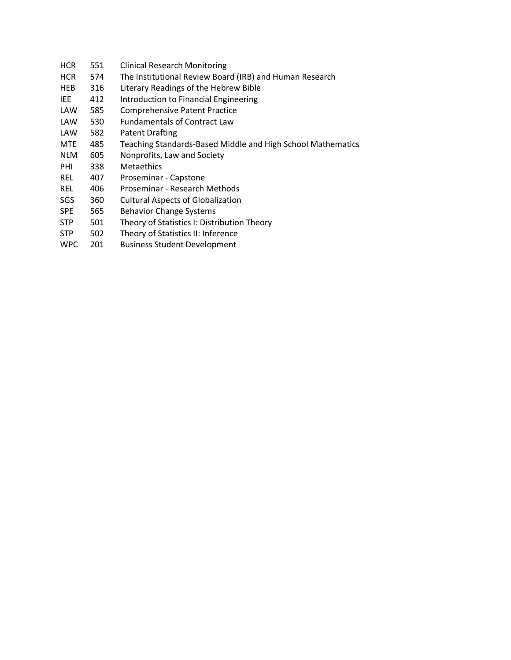- HCR 551 Clinical Research Monitoring HCR 574 The Institutional Review Board (IRB) and Human Research HEB 316 Literary Readings of the Hebrew Bible IEE 412 Introduction to Financial Engineering LAW 585 Comprehensive Patent Practice LAW 530 Fundamentals of Contract Law LAW 582 Patent Drafting MTE 485 Teaching Standards-Based Middle and High School Mathematics NLM 605 Nonprofits, Law and Society PHI 338 Metaethics REL 407 Proseminar - Capstone REL 406 Proseminar - Research Methods SGS 360 Cultural Aspects of Globalization SPE 565 Behavior Change Systems STP 501 Theory of Statistics I: Distribution Theory STP 502 Theory of Statistics II: Inference
- WPC 201 Business Student Development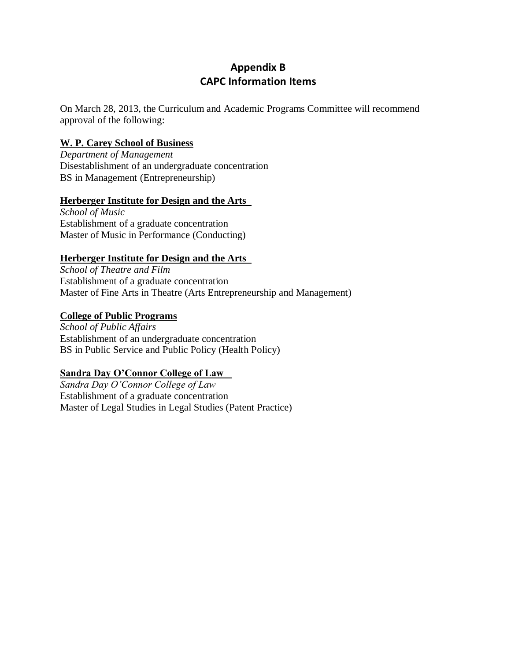# **Appendix B CAPC Information Items**

On March 28, 2013, the Curriculum and Academic Programs Committee will recommend approval of the following:

# **W. P. Carey School of Business**

*Department of Management*  Disestablishment of an undergraduate concentration BS in Management (Entrepreneurship)

# **Herberger Institute for Design and the Arts**

*School of Music*  Establishment of a graduate concentration Master of Music in Performance (Conducting)

# **Herberger Institute for Design and the Arts**

*School of Theatre and Film* Establishment of a graduate concentration Master of Fine Arts in Theatre (Arts Entrepreneurship and Management)

# **College of Public Programs**

*School of Public Affairs* Establishment of an undergraduate concentration BS in Public Service and Public Policy (Health Policy)

# **Sandra Day O'Connor College of Law**

*Sandra Day O'Connor College of Law* Establishment of a graduate concentration Master of Legal Studies in Legal Studies (Patent Practice)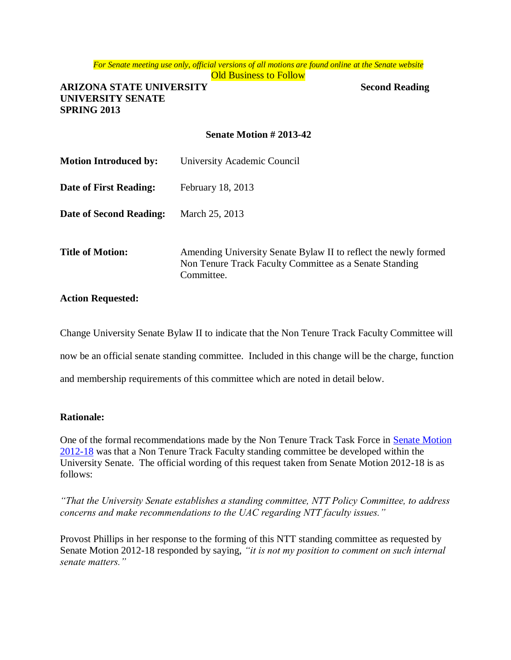*For Senate meeting use only, official versions of all motions are found online at the Senate website* **Old Business to Follow** 

**ARIZONA STATE UNIVERSITY Second Reading UNIVERSITY SENATE SPRING 2013**

### **Senate Motion # 2013-42**

| <b>Motion Introduced by:</b> | University Academic Council                                                                                                              |
|------------------------------|------------------------------------------------------------------------------------------------------------------------------------------|
| Date of First Reading:       | February 18, 2013                                                                                                                        |
| Date of Second Reading:      | March 25, 2013                                                                                                                           |
| <b>Title of Motion:</b>      | Amending University Senate Bylaw II to reflect the newly formed<br>Non Tenure Track Faculty Committee as a Senate Standing<br>Committee. |

#### **Action Requested:**

Change University Senate Bylaw II to indicate that the Non Tenure Track Faculty Committee will now be an official senate standing committee. Included in this change will be the charge, function and membership requirements of this committee which are noted in detail below.

#### **Rationale:**

One of the formal recommendations made by the Non Tenure Track Task Force in Senate Motion [2012-18](http://usenate.asu.edu/NTTmotion) was that a Non Tenure Track Faculty standing committee be developed within the University Senate. The official wording of this request taken from Senate Motion 2012-18 is as follows:

*"That the University Senate establishes a standing committee, NTT Policy Committee, to address concerns and make recommendations to the UAC regarding NTT faculty issues."*

Provost Phillips in her response to the forming of this NTT standing committee as requested by Senate Motion 2012-18 responded by saying, *"it is not my position to comment on such internal senate matters."*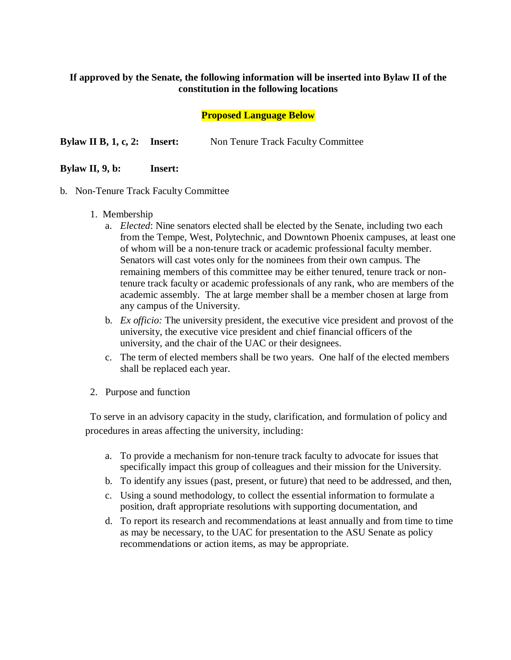# **If approved by the Senate, the following information will be inserted into Bylaw II of the constitution in the following locations**

# **Proposed Language Below**

**Bylaw II B, 1, c, 2: Insert:** Non Tenure Track Faculty Committee

# **Bylaw II, 9, b: Insert:**

- b. Non-Tenure Track Faculty Committee
	- 1. Membership
		- a. *Elected*: Nine senators elected shall be elected by the Senate, including two each from the Tempe, West, Polytechnic, and Downtown Phoenix campuses, at least one of whom will be a non-tenure track or academic professional faculty member. Senators will cast votes only for the nominees from their own campus. The remaining members of this committee may be either tenured, tenure track or nontenure track faculty or academic professionals of any rank, who are members of the academic assembly. The at large member shall be a member chosen at large from any campus of the University.
		- b. *Ex officio:* The university president, the executive vice president and provost of the university, the executive vice president and chief financial officers of the university, and the chair of the UAC or their designees.
		- c. The term of elected members shall be two years. One half of the elected members shall be replaced each year.
	- 2. Purpose and function

To serve in an advisory capacity in the study, clarification, and formulation of policy and procedures in areas affecting the university, including:

- a. To provide a mechanism for non-tenure track faculty to advocate for issues that specifically impact this group of colleagues and their mission for the University.
- b. To identify any issues (past, present, or future) that need to be addressed, and then,
- c. Using a sound methodology, to collect the essential information to formulate a position, draft appropriate resolutions with supporting documentation, and
- d. To report its research and recommendations at least annually and from time to time as may be necessary, to the UAC for presentation to the ASU Senate as policy recommendations or action items, as may be appropriate.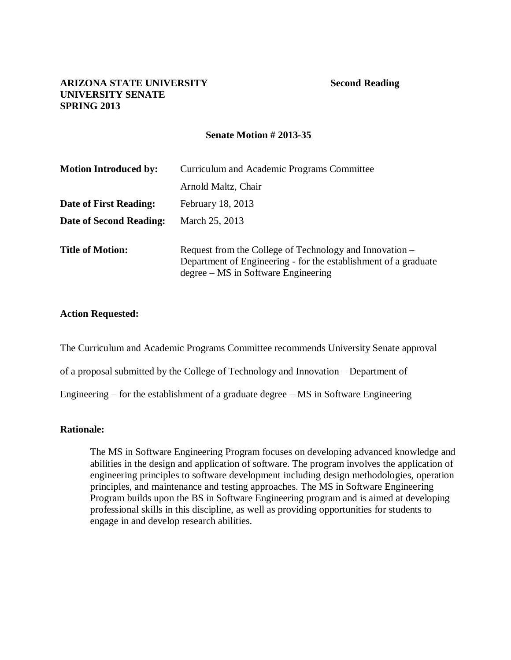#### **Senate Motion # 2013-35**

| <b>Motion Introduced by:</b> | Curriculum and Academic Programs Committee                                                                                                                        |
|------------------------------|-------------------------------------------------------------------------------------------------------------------------------------------------------------------|
|                              | Arnold Maltz, Chair                                                                                                                                               |
| Date of First Reading:       | February 18, 2013                                                                                                                                                 |
| Date of Second Reading:      | March 25, 2013                                                                                                                                                    |
| <b>Title of Motion:</b>      | Request from the College of Technology and Innovation –<br>Department of Engineering - for the establishment of a graduate<br>degree – MS in Software Engineering |

#### **Action Requested:**

The Curriculum and Academic Programs Committee recommends University Senate approval

of a proposal submitted by the College of Technology and Innovation – Department of

Engineering – for the establishment of a graduate degree – MS in Software Engineering

#### **Rationale:**

The MS in Software Engineering Program focuses on developing advanced knowledge and abilities in the design and application of software. The program involves the application of engineering principles to software development including design methodologies, operation principles, and maintenance and testing approaches. The MS in Software Engineering Program builds upon the BS in Software Engineering program and is aimed at developing professional skills in this discipline, as well as providing opportunities for students to engage in and develop research abilities.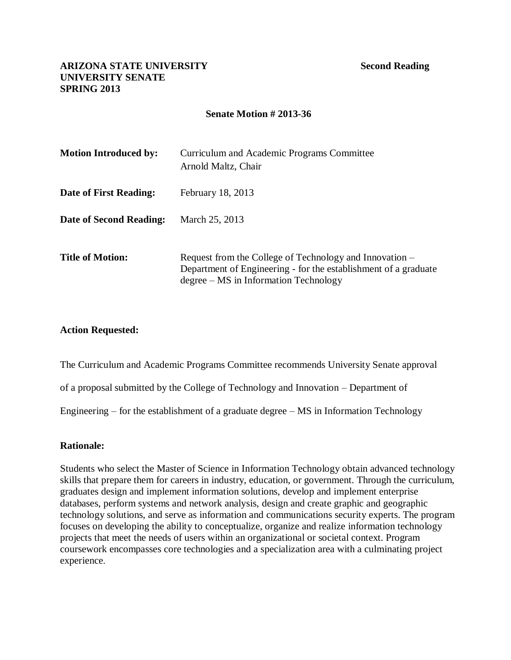# **Senate Motion # 2013-36**

| <b>Motion Introduced by:</b> | Curriculum and Academic Programs Committee<br>Arnold Maltz, Chair                                                                                                     |
|------------------------------|-----------------------------------------------------------------------------------------------------------------------------------------------------------------------|
| Date of First Reading:       | February 18, 2013                                                                                                                                                     |
| Date of Second Reading:      | March 25, 2013                                                                                                                                                        |
| <b>Title of Motion:</b>      | Request from the College of Technology and Innovation –<br>Department of Engineering - for the establishment of a graduate<br>$degree - MS$ in Information Technology |

# **Action Requested:**

The Curriculum and Academic Programs Committee recommends University Senate approval

of a proposal submitted by the College of Technology and Innovation – Department of

Engineering – for the establishment of a graduate degree – MS in Information Technology

#### **Rationale:**

Students who select the Master of Science in Information Technology obtain advanced technology skills that prepare them for careers in industry, education, or government. Through the curriculum, graduates design and implement information solutions, develop and implement enterprise databases, perform systems and network analysis, design and create graphic and geographic technology solutions, and serve as information and communications security experts. The program focuses on developing the ability to conceptualize, organize and realize information technology projects that meet the needs of users within an organizational or societal context. Program coursework encompasses core technologies and a specialization area with a culminating project experience.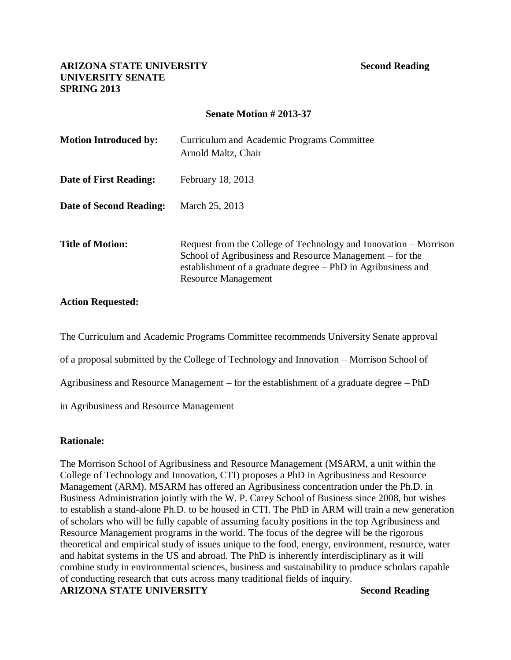# **Senate Motion # 2013-37**

| <b>Motion Introduced by:</b> | Curriculum and Academic Programs Committee<br>Arnold Maltz, Chair                                                                                                                                                          |
|------------------------------|----------------------------------------------------------------------------------------------------------------------------------------------------------------------------------------------------------------------------|
| Date of First Reading:       | February 18, 2013                                                                                                                                                                                                          |
| Date of Second Reading:      | March 25, 2013                                                                                                                                                                                                             |
| <b>Title of Motion:</b>      | Request from the College of Technology and Innovation – Morrison<br>School of Agribusiness and Resource Management – for the<br>establishment of a graduate degree – PhD in Agribusiness and<br><b>Resource Management</b> |

# **Action Requested:**

The Curriculum and Academic Programs Committee recommends University Senate approval of a proposal submitted by the College of Technology and Innovation – Morrison School of Agribusiness and Resource Management – for the establishment of a graduate degree – PhD

in Agribusiness and Resource Management

# **Rationale:**

The Morrison School of Agribusiness and Resource Management (MSARM, a unit within the College of Technology and Innovation, CTI) proposes a PhD in Agribusiness and Resource Management (ARM). MSARM has offered an Agribusiness concentration under the Ph.D. in Business Administration jointly with the W. P. Carey School of Business since 2008, but wishes to establish a stand-alone Ph.D. to be housed in CTI. The PhD in ARM will train a new generation of scholars who will be fully capable of assuming faculty positions in the top Agribusiness and Resource Management programs in the world. The focus of the degree will be the rigorous theoretical and empirical study of issues unique to the food, energy, environment, resource, water and habitat systems in the US and abroad. The PhD is inherently interdisciplinary as it will combine study in environmental sciences, business and sustainability to produce scholars capable of conducting research that cuts across many traditional fields of inquiry.

# **ARIZONA STATE UNIVERSITY Second Reading**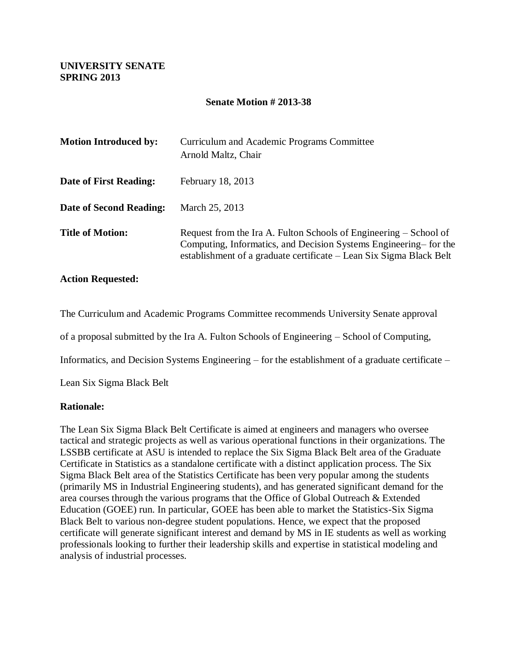# **UNIVERSITY SENATE SPRING 2013**

### **Senate Motion # 2013-38**

| <b>Motion Introduced by:</b> | Curriculum and Academic Programs Committee<br>Arnold Maltz, Chair                                                                                                                                            |
|------------------------------|--------------------------------------------------------------------------------------------------------------------------------------------------------------------------------------------------------------|
| Date of First Reading:       | February 18, 2013                                                                                                                                                                                            |
| Date of Second Reading:      | March 25, 2013                                                                                                                                                                                               |
| <b>Title of Motion:</b>      | Request from the Ira A. Fulton Schools of Engineering – School of<br>Computing, Informatics, and Decision Systems Engineering–for the<br>establishment of a graduate certificate – Lean Six Sigma Black Belt |

#### **Action Requested:**

The Curriculum and Academic Programs Committee recommends University Senate approval

of a proposal submitted by the Ira A. Fulton Schools of Engineering – School of Computing,

Informatics, and Decision Systems Engineering – for the establishment of a graduate certificate –

Lean Six Sigma Black Belt

#### **Rationale:**

The Lean Six Sigma Black Belt Certificate is aimed at engineers and managers who oversee tactical and strategic projects as well as various operational functions in their organizations. The LSSBB certificate at ASU is intended to replace the Six Sigma Black Belt area of the Graduate Certificate in Statistics as a standalone certificate with a distinct application process. The Six Sigma Black Belt area of the Statistics Certificate has been very popular among the students (primarily MS in Industrial Engineering students), and has generated significant demand for the area courses through the various programs that the Office of Global Outreach & Extended Education (GOEE) run. In particular, GOEE has been able to market the Statistics-Six Sigma Black Belt to various non-degree student populations. Hence, we expect that the proposed certificate will generate significant interest and demand by MS in IE students as well as working professionals looking to further their leadership skills and expertise in statistical modeling and analysis of industrial processes.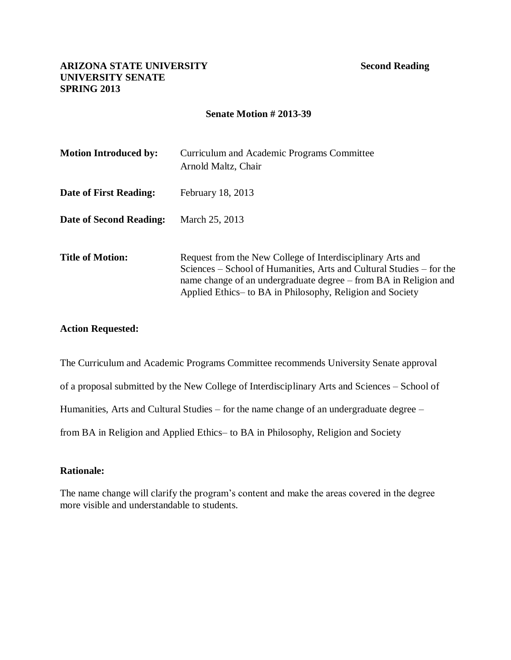### **Senate Motion # 2013-39**

| <b>Motion Introduced by:</b> | Curriculum and Academic Programs Committee<br>Arnold Maltz, Chair                                                                                                                                                                                                    |
|------------------------------|----------------------------------------------------------------------------------------------------------------------------------------------------------------------------------------------------------------------------------------------------------------------|
| Date of First Reading:       | February 18, 2013                                                                                                                                                                                                                                                    |
| Date of Second Reading:      | March 25, 2013                                                                                                                                                                                                                                                       |
| <b>Title of Motion:</b>      | Request from the New College of Interdisciplinary Arts and<br>Sciences – School of Humanities, Arts and Cultural Studies – for the<br>name change of an undergraduate degree – from BA in Religion and<br>Applied Ethics – to BA in Philosophy, Religion and Society |

#### **Action Requested:**

The Curriculum and Academic Programs Committee recommends University Senate approval of a proposal submitted by the New College of Interdisciplinary Arts and Sciences – School of Humanities, Arts and Cultural Studies – for the name change of an undergraduate degree – from BA in Religion and Applied Ethics– to BA in Philosophy, Religion and Society

# **Rationale:**

The name change will clarify the program's content and make the areas covered in the degree more visible and understandable to students.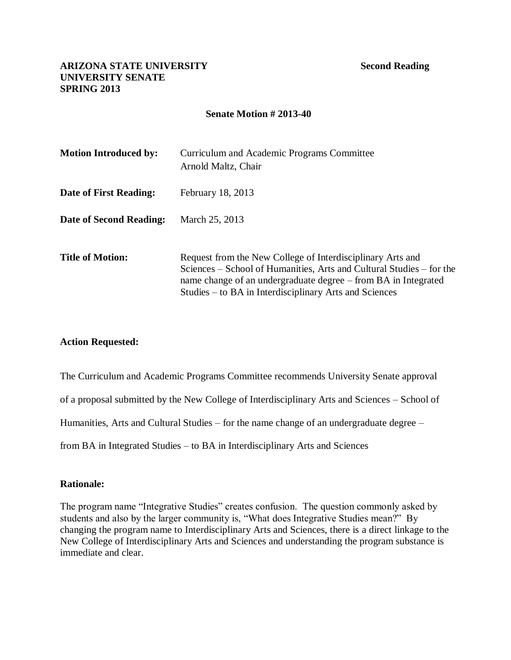### **Senate Motion # 2013-40**

| <b>Motion Introduced by:</b> | Curriculum and Academic Programs Committee<br>Arnold Maltz, Chair                                                                                                                                                                                              |
|------------------------------|----------------------------------------------------------------------------------------------------------------------------------------------------------------------------------------------------------------------------------------------------------------|
| Date of First Reading:       | February 18, 2013                                                                                                                                                                                                                                              |
| Date of Second Reading:      | March 25, 2013                                                                                                                                                                                                                                                 |
| <b>Title of Motion:</b>      | Request from the New College of Interdisciplinary Arts and<br>Sciences – School of Humanities, Arts and Cultural Studies – for the<br>name change of an undergraduate degree – from BA in Integrated<br>Studies – to BA in Interdisciplinary Arts and Sciences |

# **Action Requested:**

The Curriculum and Academic Programs Committee recommends University Senate approval

of a proposal submitted by the New College of Interdisciplinary Arts and Sciences – School of

Humanities, Arts and Cultural Studies – for the name change of an undergraduate degree –

from BA in Integrated Studies – to BA in Interdisciplinary Arts and Sciences

#### **Rationale:**

The program name "Integrative Studies" creates confusion. The question commonly asked by students and also by the larger community is, "What does Integrative Studies mean?" By changing the program name to Interdisciplinary Arts and Sciences, there is a direct linkage to the New College of Interdisciplinary Arts and Sciences and understanding the program substance is immediate and clear.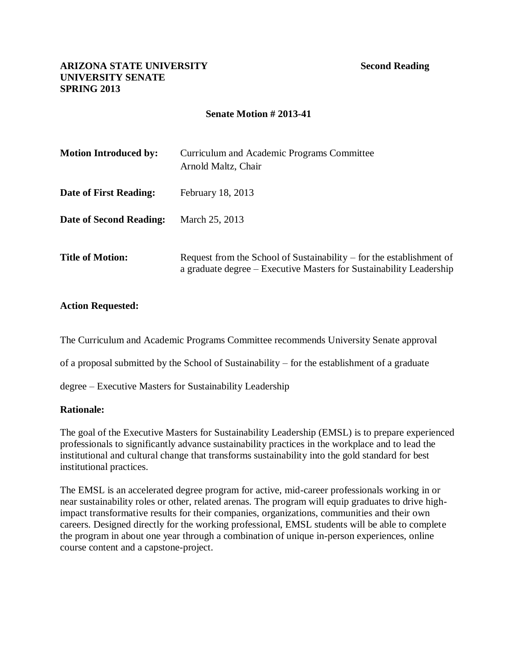# **Senate Motion # 2013-41**

| <b>Motion Introduced by:</b> | Curriculum and Academic Programs Committee<br>Arnold Maltz, Chair                                                                             |
|------------------------------|-----------------------------------------------------------------------------------------------------------------------------------------------|
| Date of First Reading:       | February 18, 2013                                                                                                                             |
| Date of Second Reading:      | March 25, 2013                                                                                                                                |
| <b>Title of Motion:</b>      | Request from the School of Sustainability $-$ for the establishment of<br>a graduate degree – Executive Masters for Sustainability Leadership |

# **Action Requested:**

The Curriculum and Academic Programs Committee recommends University Senate approval

of a proposal submitted by the School of Sustainability – for the establishment of a graduate

degree – Executive Masters for Sustainability Leadership

# **Rationale:**

The goal of the Executive Masters for Sustainability Leadership (EMSL) is to prepare experienced professionals to significantly advance sustainability practices in the workplace and to lead the institutional and cultural change that transforms sustainability into the gold standard for best institutional practices.

The EMSL is an accelerated degree program for active, mid-career professionals working in or near sustainability roles or other, related arenas. The program will equip graduates to drive highimpact transformative results for their companies, organizations, communities and their own careers. Designed directly for the working professional, EMSL students will be able to complete the program in about one year through a combination of unique in-person experiences, online course content and a capstone-project.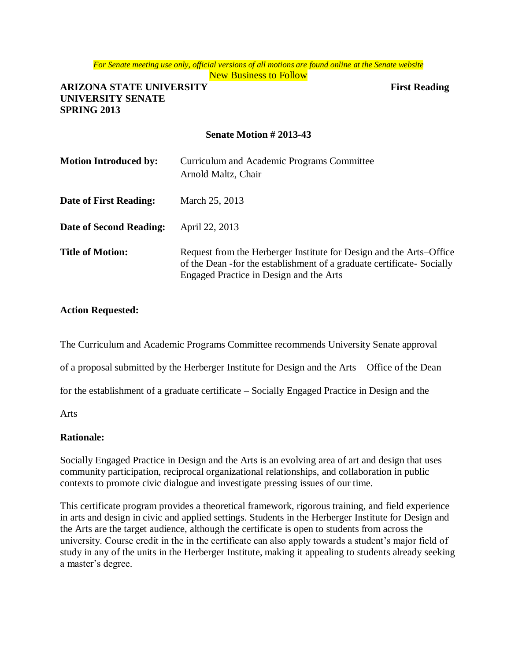#### *For Senate meeting use only, official versions of all motions are found online at the Senate website* New Business to Follow

# **ARIZONA STATE UNIVERSITY First Reading UNIVERSITY SENATE SPRING 2013**

# **Senate Motion # 2013-43**

| <b>Motion Introduced by:</b> | Curriculum and Academic Programs Committee<br>Arnold Maltz, Chair                                                                                                                          |
|------------------------------|--------------------------------------------------------------------------------------------------------------------------------------------------------------------------------------------|
| Date of First Reading:       | March 25, 2013                                                                                                                                                                             |
| Date of Second Reading:      | April 22, 2013                                                                                                                                                                             |
| <b>Title of Motion:</b>      | Request from the Herberger Institute for Design and the Arts–Office<br>of the Dean - for the establishment of a graduate certificate - Socially<br>Engaged Practice in Design and the Arts |

# **Action Requested:**

The Curriculum and Academic Programs Committee recommends University Senate approval

of a proposal submitted by the Herberger Institute for Design and the Arts – Office of the Dean –

for the establishment of a graduate certificate – Socially Engaged Practice in Design and the

Arts

# **Rationale:**

Socially Engaged Practice in Design and the Arts is an evolving area of art and design that uses community participation, reciprocal organizational relationships, and collaboration in public contexts to promote civic dialogue and investigate pressing issues of our time.

This certificate program provides a theoretical framework, rigorous training, and field experience in arts and design in civic and applied settings. Students in the Herberger Institute for Design and the Arts are the target audience, although the certificate is open to students from across the university. Course credit in the in the certificate can also apply towards a student's major field of study in any of the units in the Herberger Institute, making it appealing to students already seeking a master's degree.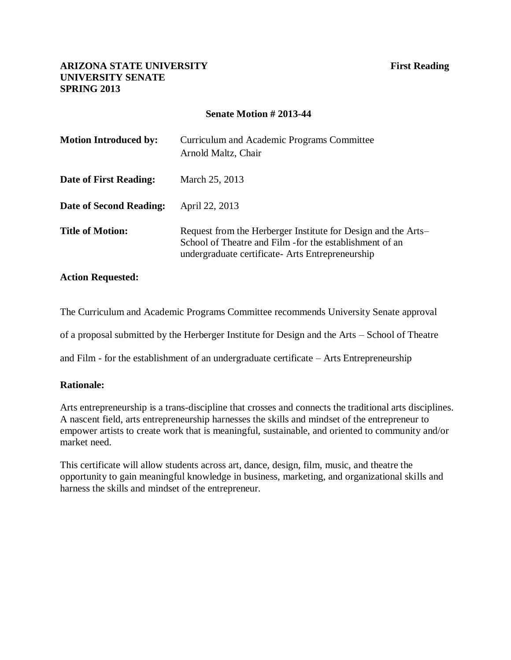### **Senate Motion # 2013-44**

| <b>Motion Introduced by:</b> | Curriculum and Academic Programs Committee<br>Arnold Maltz, Chair                                                                                                              |
|------------------------------|--------------------------------------------------------------------------------------------------------------------------------------------------------------------------------|
| Date of First Reading:       | March 25, 2013                                                                                                                                                                 |
| Date of Second Reading:      | April 22, 2013                                                                                                                                                                 |
| <b>Title of Motion:</b>      | Request from the Herberger Institute for Design and the Arts–<br>School of Theatre and Film - for the establishment of an<br>undergraduate certificate - Arts Entrepreneurship |

#### **Action Requested:**

The Curriculum and Academic Programs Committee recommends University Senate approval

of a proposal submitted by the Herberger Institute for Design and the Arts – School of Theatre

and Film - for the establishment of an undergraduate certificate – Arts Entrepreneurship

#### **Rationale:**

Arts entrepreneurship is a trans-discipline that crosses and connects the traditional arts disciplines. A nascent field, arts entrepreneurship harnesses the skills and mindset of the entrepreneur to empower artists to create work that is meaningful, sustainable, and oriented to community and/or market need.

This certificate will allow students across art, dance, design, film, music, and theatre the opportunity to gain meaningful knowledge in business, marketing, and organizational skills and harness the skills and mindset of the entrepreneur.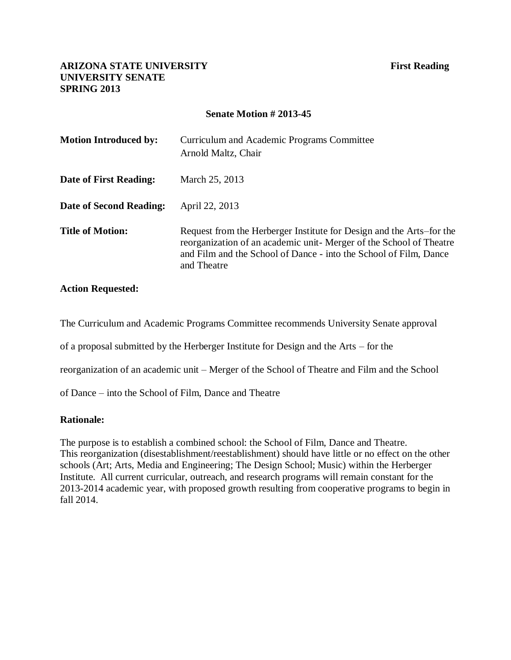### **Senate Motion # 2013-45**

| <b>Motion Introduced by:</b>   | Curriculum and Academic Programs Committee<br>Arnold Maltz, Chair                                                                                                                                                              |
|--------------------------------|--------------------------------------------------------------------------------------------------------------------------------------------------------------------------------------------------------------------------------|
| <b>Date of First Reading:</b>  | March 25, 2013                                                                                                                                                                                                                 |
| <b>Date of Second Reading:</b> | April 22, 2013                                                                                                                                                                                                                 |
| <b>Title of Motion:</b>        | Request from the Herberger Institute for Design and the Arts–for the<br>reorganization of an academic unit-Merger of the School of Theatre<br>and Film and the School of Dance - into the School of Film, Dance<br>and Theatre |

# **Action Requested:**

The Curriculum and Academic Programs Committee recommends University Senate approval

of a proposal submitted by the Herberger Institute for Design and the Arts – for the

reorganization of an academic unit – Merger of the School of Theatre and Film and the School

of Dance – into the School of Film, Dance and Theatre

#### **Rationale:**

The purpose is to establish a combined school: the School of Film, Dance and Theatre. This reorganization (disestablishment/reestablishment) should have little or no effect on the other schools (Art; Arts, Media and Engineering; The Design School; Music) within the Herberger Institute. All current curricular, outreach, and research programs will remain constant for the 2013-2014 academic year, with proposed growth resulting from cooperative programs to begin in fall 2014.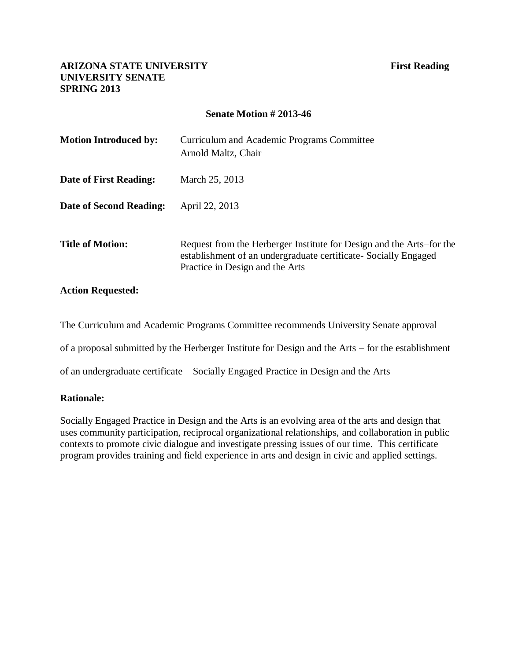### **Senate Motion # 2013-46**

| <b>Motion Introduced by:</b> | Curriculum and Academic Programs Committee<br>Arnold Maltz, Chair                                                                                                           |
|------------------------------|-----------------------------------------------------------------------------------------------------------------------------------------------------------------------------|
| Date of First Reading:       | March 25, 2013                                                                                                                                                              |
| Date of Second Reading:      | April 22, 2013                                                                                                                                                              |
| <b>Title of Motion:</b>      | Request from the Herberger Institute for Design and the Arts–for the<br>establishment of an undergraduate certificate - Socially Engaged<br>Practice in Design and the Arts |

### **Action Requested:**

The Curriculum and Academic Programs Committee recommends University Senate approval

of a proposal submitted by the Herberger Institute for Design and the Arts – for the establishment

of an undergraduate certificate – Socially Engaged Practice in Design and the Arts

#### **Rationale:**

Socially Engaged Practice in Design and the Arts is an evolving area of the arts and design that uses community participation, reciprocal organizational relationships, and collaboration in public contexts to promote civic dialogue and investigate pressing issues of our time. This certificate program provides training and field experience in arts and design in civic and applied settings.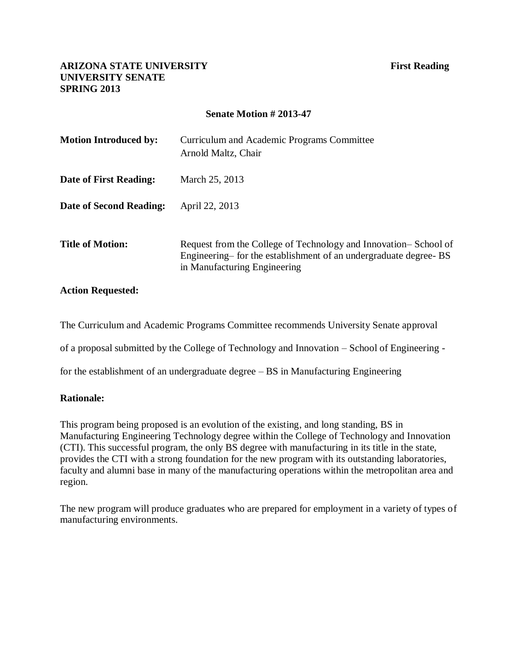# **Senate Motion # 2013-47**

| <b>Motion Introduced by:</b> | Curriculum and Academic Programs Committee<br>Arnold Maltz, Chair                                                                                                    |
|------------------------------|----------------------------------------------------------------------------------------------------------------------------------------------------------------------|
| Date of First Reading:       | March 25, 2013                                                                                                                                                       |
| Date of Second Reading:      | April 22, 2013                                                                                                                                                       |
| <b>Title of Motion:</b>      | Request from the College of Technology and Innovation–School of<br>Engineering– for the establishment of an undergraduate degree- BS<br>in Manufacturing Engineering |

#### **Action Requested:**

The Curriculum and Academic Programs Committee recommends University Senate approval

of a proposal submitted by the College of Technology and Innovation – School of Engineering -

for the establishment of an undergraduate degree – BS in Manufacturing Engineering

#### **Rationale:**

This program being proposed is an evolution of the existing, and long standing, BS in Manufacturing Engineering Technology degree within the College of Technology and Innovation (CTI). This successful program, the only BS degree with manufacturing in its title in the state, provides the CTI with a strong foundation for the new program with its outstanding laboratories, faculty and alumni base in many of the manufacturing operations within the metropolitan area and region.

The new program will produce graduates who are prepared for employment in a variety of types of manufacturing environments.